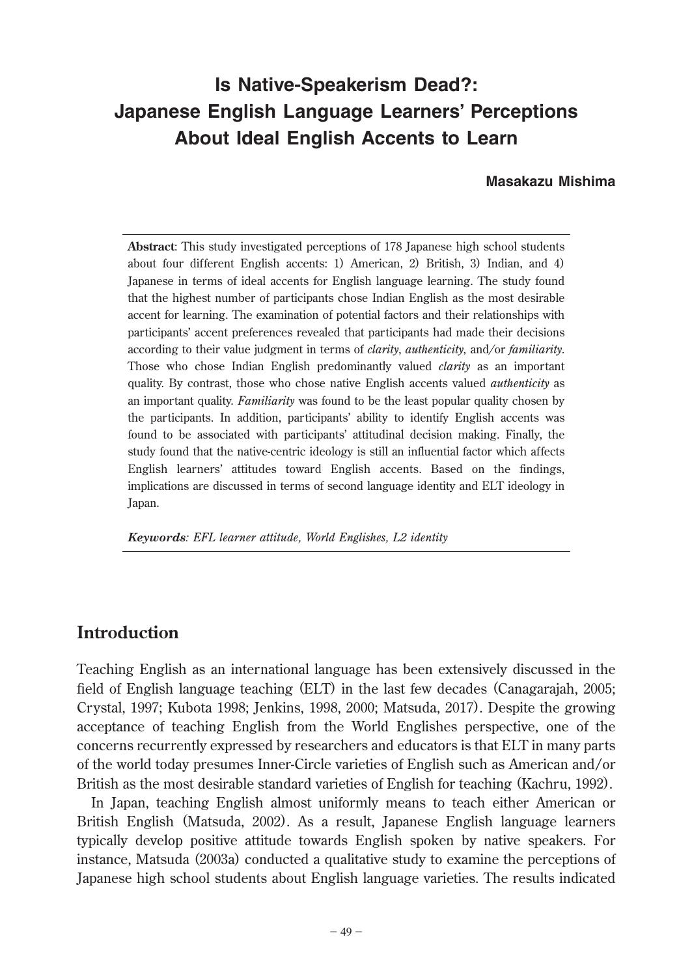# **Is Native-Speakerism Dead?: Japanese English Language Learners' Perceptions About Ideal English Accents to Learn**

#### **Masakazu Mishima**

**Abstract**: This study investigated perceptions of 178 Japanese high school students about four different English accents: 1) American, 2) British, 3) Indian, and 4) Japanese in terms of ideal accents for English language learning. The study found that the highest number of participants chose Indian English as the most desirable accent for learning. The examination of potential factors and their relationships with participants' accent preferences revealed that participants had made their decisions according to their value judgment in terms of *clarity*, *authenticity*, and*/*or *familiarity*. Those who chose Indian English predominantly valued *clarity* as an important quality. By contrast, those who chose native English accents valued *authenticity* as an important quality. *Familiarity* was found to be the least popular quality chosen by the participants. In addition, participants' ability to identify English accents was found to be associated with participants' attitudinal decision making. Finally, the study found that the native-centric ideology is still an influential factor which affects English learners' attitudes toward English accents. Based on the findings, implications are discussed in terms of second language identity and ELT ideology in Japan.

*Keywords: EFL learner attitude, World Englishes, L2 identity*

# **Introduction**

Teaching English as an international language has been extensively discussed in the field of English language teaching (ELT) in the last few decades (Canagarajah, 2005; Crystal, 1997; Kubota 1998; Jenkins, 1998, 2000; Matsuda, 2017). Despite the growing acceptance of teaching English from the World Englishes perspective, one of the concerns recurrently expressed by researchers and educators is that ELT in many parts of the world today presumes Inner-Circle varieties of English such as American and/or British as the most desirable standard varieties of English for teaching (Kachru, 1992).

 In Japan, teaching English almost uniformly means to teach either American or British English (Matsuda, 2002). As a result, Japanese English language learners typically develop positive attitude towards English spoken by native speakers. For instance, Matsuda (2003a) conducted a qualitative study to examine the perceptions of Japanese high school students about English language varieties. The results indicated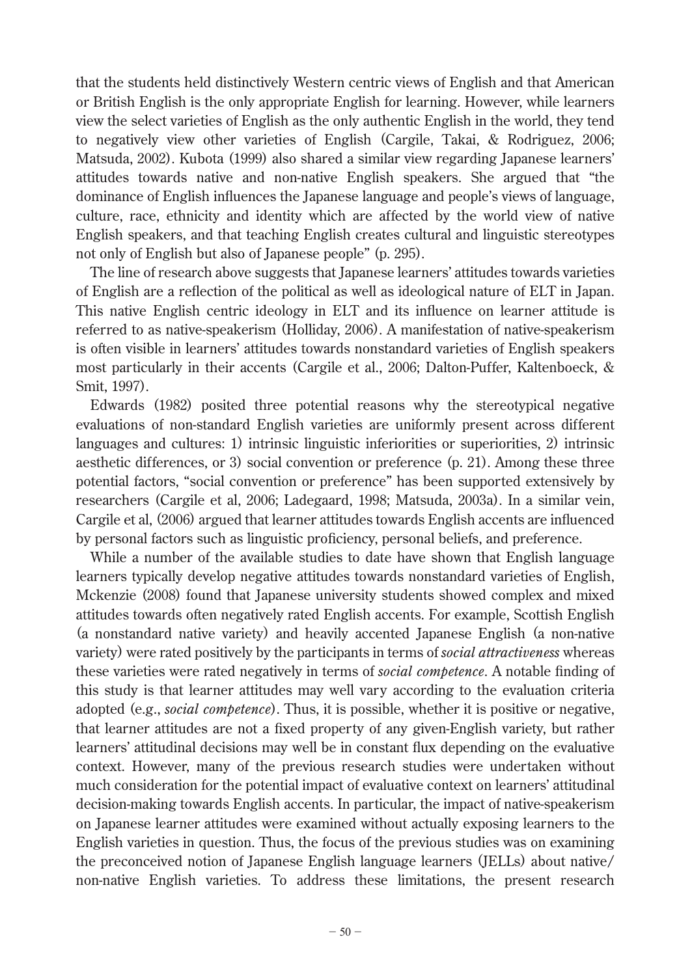that the students held distinctively Western centric views of English and that American or British English is the only appropriate English for learning. However, while learners view the select varieties of English as the only authentic English in the world, they tend to negatively view other varieties of English (Cargile, Takai, & Rodriguez, 2006; Matsuda, 2002). Kubota (1999) also shared a similar view regarding Japanese learners' attitudes towards native and non-native English speakers. She argued that "the dominance of English influences the Japanese language and people's views of language, culture, race, ethnicity and identity which are affected by the world view of native English speakers, and that teaching English creates cultural and linguistic stereotypes not only of English but also of Japanese people" (p. 295).

 The line of research above suggests that Japanese learners' attitudes towards varieties of English are a reflection of the political as well as ideological nature of ELT in Japan. This native English centric ideology in ELT and its influence on learner attitude is referred to as native-speakerism (Holliday, 2006). A manifestation of native-speakerism is often visible in learners' attitudes towards nonstandard varieties of English speakers most particularly in their accents (Cargile et al., 2006; Dalton-Puffer, Kaltenboeck, & Smit, 1997).

 Edwards (1982) posited three potential reasons why the stereotypical negative evaluations of non-standard English varieties are uniformly present across different languages and cultures: 1) intrinsic linguistic inferiorities or superiorities, 2) intrinsic aesthetic differences, or 3) social convention or preference (p. 21). Among these three potential factors, "social convention or preference" has been supported extensively by researchers (Cargile et al, 2006; Ladegaard, 1998; Matsuda, 2003a). In a similar vein, Cargile et al, (2006) argued that learner attitudes towards English accents are influenced by personal factors such as linguistic proficiency, personal beliefs, and preference.

 While a number of the available studies to date have shown that English language learners typically develop negative attitudes towards nonstandard varieties of English, Mckenzie (2008) found that Japanese university students showed complex and mixed attitudes towards often negatively rated English accents. For example, Scottish English (a nonstandard native variety) and heavily accented Japanese English (a non-native variety) were rated positively by the participants in terms of *social attractiveness* whereas these varieties were rated negatively in terms of *social competence*. A notable finding of this study is that learner attitudes may well vary according to the evaluation criteria adopted (e.g., *social competence*). Thus, it is possible, whether it is positive or negative, that learner attitudes are not a fixed property of any given-English variety, but rather learners' attitudinal decisions may well be in constant flux depending on the evaluative context. However, many of the previous research studies were undertaken without much consideration for the potential impact of evaluative context on learners' attitudinal decision-making towards English accents. In particular, the impact of native-speakerism on Japanese learner attitudes were examined without actually exposing learners to the English varieties in question. Thus, the focus of the previous studies was on examining the preconceived notion of Japanese English language learners (JELLs) about native/ non-native English varieties. To address these limitations, the present research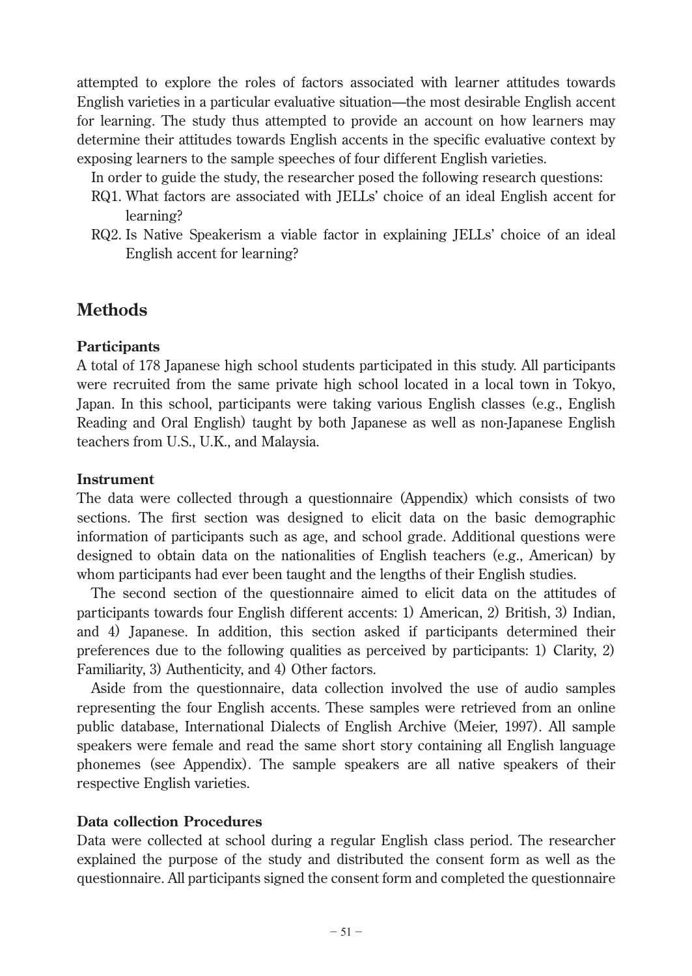attempted to explore the roles of factors associated with learner attitudes towards English varieties in a particular evaluative situation—the most desirable English accent for learning. The study thus attempted to provide an account on how learners may determine their attitudes towards English accents in the specific evaluative context by exposing learners to the sample speeches of four different English varieties.

In order to guide the study, the researcher posed the following research questions:

- RQ1. What factors are associated with JELLs' choice of an ideal English accent for learning?
- RQ2. Is Native Speakerism a viable factor in explaining JELLs' choice of an ideal English accent for learning?

# **Methods**

### **Participants**

A total of 178 Japanese high school students participated in this study. All participants were recruited from the same private high school located in a local town in Tokyo, Japan. In this school, participants were taking various English classes (e.g., English Reading and Oral English) taught by both Japanese as well as non-Japanese English teachers from U.S., U.K., and Malaysia.

### **Instrument**

The data were collected through a questionnaire (Appendix) which consists of two sections. The first section was designed to elicit data on the basic demographic information of participants such as age, and school grade. Additional questions were designed to obtain data on the nationalities of English teachers (e.g., American) by whom participants had ever been taught and the lengths of their English studies.

 The second section of the questionnaire aimed to elicit data on the attitudes of participants towards four English different accents: 1) American, 2) British, 3) Indian, and 4) Japanese. In addition, this section asked if participants determined their preferences due to the following qualities as perceived by participants: 1) Clarity, 2) Familiarity, 3) Authenticity, and 4) Other factors.

 Aside from the questionnaire, data collection involved the use of audio samples representing the four English accents. These samples were retrieved from an online public database, International Dialects of English Archive (Meier, 1997). All sample speakers were female and read the same short story containing all English language phonemes (see Appendix). The sample speakers are all native speakers of their respective English varieties.

### **Data collection Procedures**

Data were collected at school during a regular English class period. The researcher explained the purpose of the study and distributed the consent form as well as the questionnaire. All participants signed the consent form and completed the questionnaire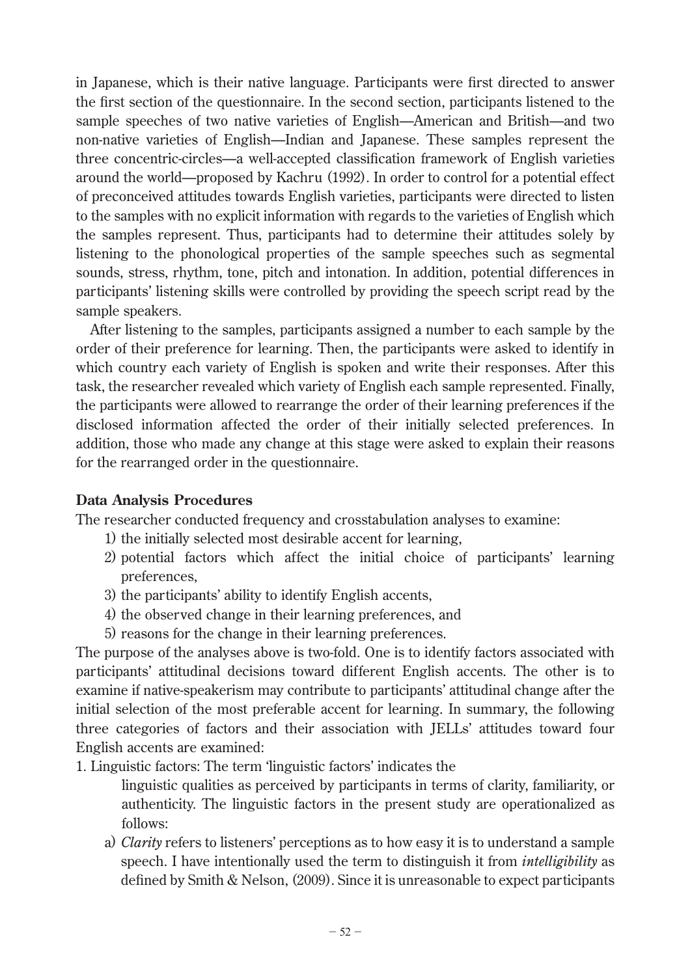in Japanese, which is their native language. Participants were first directed to answer the first section of the questionnaire. In the second section, participants listened to the sample speeches of two native varieties of English—American and British—and two non-native varieties of English—Indian and Japanese. These samples represent the three concentric-circles—a well-accepted classification framework of English varieties around the world—proposed by Kachru (1992). In order to control for a potential effect of preconceived attitudes towards English varieties, participants were directed to listen to the samples with no explicit information with regards to the varieties of English which the samples represent. Thus, participants had to determine their attitudes solely by listening to the phonological properties of the sample speeches such as segmental sounds, stress, rhythm, tone, pitch and intonation. In addition, potential differences in participants' listening skills were controlled by providing the speech script read by the sample speakers.

 After listening to the samples, participants assigned a number to each sample by the order of their preference for learning. Then, the participants were asked to identify in which country each variety of English is spoken and write their responses. After this task, the researcher revealed which variety of English each sample represented. Finally, the participants were allowed to rearrange the order of their learning preferences if the disclosed information affected the order of their initially selected preferences. In addition, those who made any change at this stage were asked to explain their reasons for the rearranged order in the questionnaire.

### **Data Analysis Procedures**

The researcher conducted frequency and crosstabulation analyses to examine:

- 1) the initially selected most desirable accent for learning,
- 2) potential factors which affect the initial choice of participants' learning preferences,
- 3) the participants' ability to identify English accents,
- 4) the observed change in their learning preferences, and
- 5) reasons for the change in their learning preferences.

The purpose of the analyses above is two-fold. One is to identify factors associated with participants' attitudinal decisions toward different English accents. The other is to examine if native-speakerism may contribute to participants' attitudinal change after the initial selection of the most preferable accent for learning. In summary, the following three categories of factors and their association with JELLs' attitudes toward four English accents are examined:

1. Linguistic factors: The term 'linguistic factors' indicates the

linguistic qualities as perceived by participants in terms of clarity, familiarity, or authenticity. The linguistic factors in the present study are operationalized as follows:

a) *Clarity* refers to listeners' perceptions as to how easy it is to understand a sample speech. I have intentionally used the term to distinguish it from *intelligibility* as defined by Smith & Nelson,  $(2009)$ . Since it is unreasonable to expect participants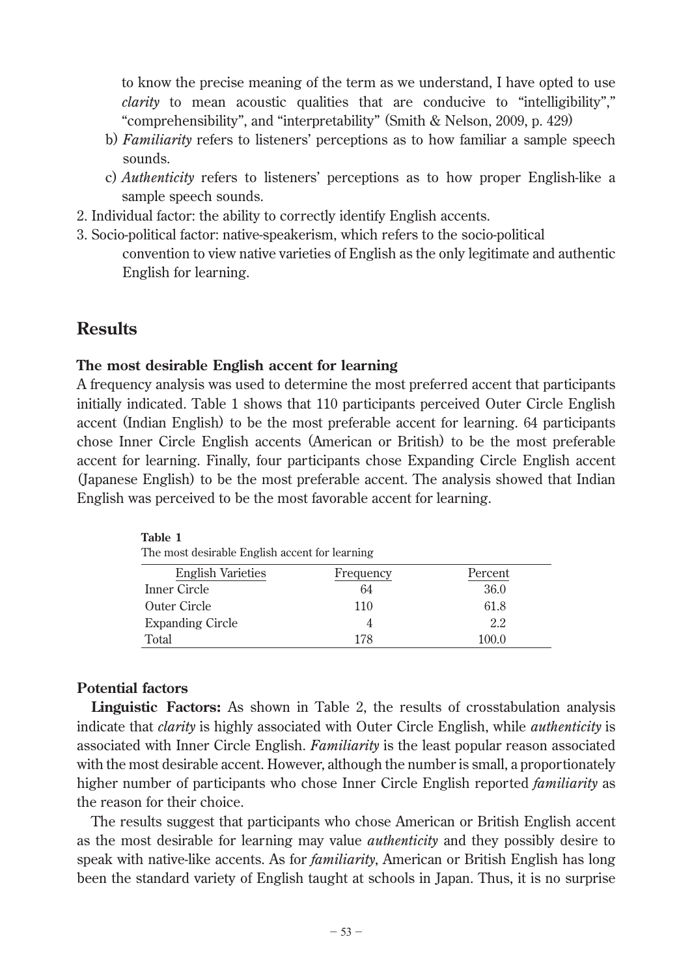to know the precise meaning of the term as we understand, I have opted to use *clarity* to mean acoustic qualities that are conducive to "intelligibility"," "comprehensibility", and "interpretability" (Smith & Nelson, 2009, p. 429)

- b) *Familiarity* refers to listeners' perceptions as to how familiar a sample speech sounds.
- c) *Authenticity* refers to listeners' perceptions as to how proper English-like a sample speech sounds.
- 2. Individual factor: the ability to correctly identify English accents.
- 3. Socio-political factor: native-speakerism, which refers to the socio-political convention to view native varieties of English as the only legitimate and authentic English for learning.

## **Results**

#### **The most desirable English accent for learning**

A frequency analysis was used to determine the most preferred accent that participants initially indicated. Table 1 shows that 110 participants perceived Outer Circle English accent (Indian English) to be the most preferable accent for learning. 64 participants chose Inner Circle English accents (American or British) to be the most preferable accent for learning. Finally, four participants chose Expanding Circle English accent (Japanese English) to be the most preferable accent. The analysis showed that Indian English was perceived to be the most favorable accent for learning.

| The most desirable English accent for learning |           |         |
|------------------------------------------------|-----------|---------|
| <b>English Varieties</b>                       | Frequency | Percent |
| Inner Circle                                   | 64        | 36.0    |
| Outer Circle                                   | 110       | 61.8    |
| <b>Expanding Circle</b>                        |           | 2.2     |
| Total                                          | 178       | 100.0   |

#### **Potential factors**

**Table 1**

**Linguistic Factors:** As shown in Table 2, the results of crosstabulation analysis indicate that *clarity* is highly associated with Outer Circle English, while *authenticity* is associated with Inner Circle English. *Familiarity* is the least popular reason associated with the most desirable accent. However, although the number is small, a proportionately higher number of participants who chose Inner Circle English reported *familiarity* as the reason for their choice.

 The results suggest that participants who chose American or British English accent as the most desirable for learning may value *authenticity* and they possibly desire to speak with native-like accents. As for *familiarity*, American or British English has long been the standard variety of English taught at schools in Japan. Thus, it is no surprise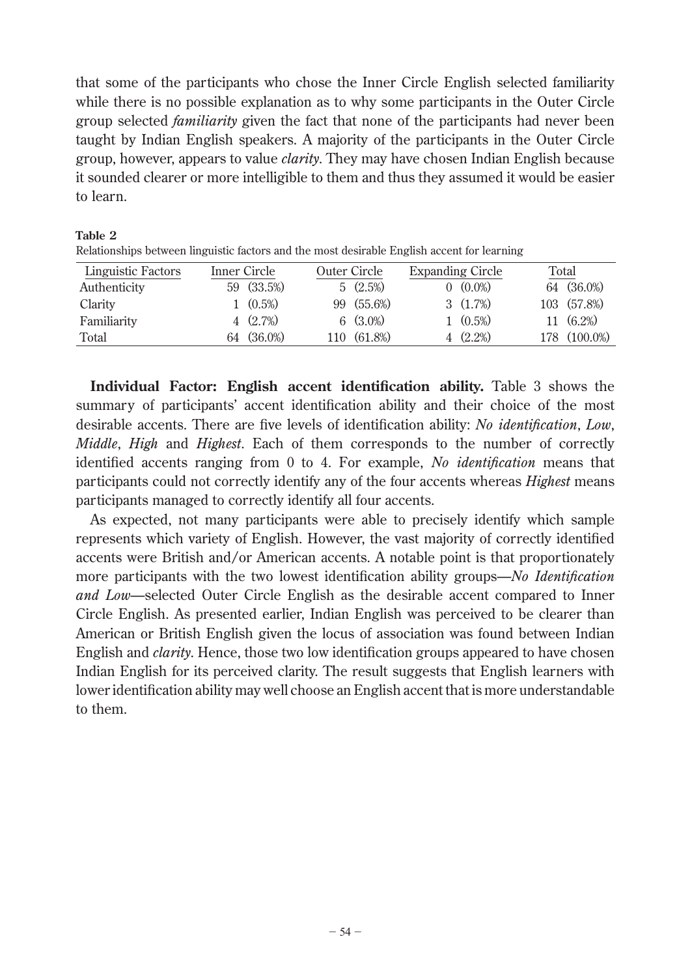that some of the participants who chose the Inner Circle English selected familiarity while there is no possible explanation as to why some participants in the Outer Circle group selected *familiarity* given the fact that none of the participants had never been taught by Indian English speakers. A majority of the participants in the Outer Circle group, however, appears to value *clarity*. They may have chosen Indian English because it sounded clearer or more intelligible to them and thus they assumed it would be easier to learn.

| Twiadonships between miguistic factors and the most desirable English accent for Ical milg |              |                   |              |             |                         |                   |       |              |
|--------------------------------------------------------------------------------------------|--------------|-------------------|--------------|-------------|-------------------------|-------------------|-------|--------------|
| <b>Linguistic Factors</b>                                                                  | Inner Circle |                   | Outer Circle |             | <b>Expanding Circle</b> |                   | Total |              |
| Authenticity                                                                               |              | 59 (33.5%)        |              | 5(2.5%)     |                         | $0 \quad (0.0\%)$ |       | 64 (36.0%)   |
| Clarity                                                                                    |              | $1 \quad (0.5\%)$ |              | 99 (55.6%)  |                         | $3(1.7\%)$        |       | 103 (57.8%)  |
| Familiarity                                                                                |              | 4(2.7%)           |              | $6(3.0\%)$  |                         | $1 \quad (0.5\%)$ |       | $11(6.2\%)$  |
| Total                                                                                      |              | 64 (36.0%)        |              | 110 (61.8%) |                         | $4(2.2\%)$        |       | 178 (100.0%) |

**Table 2** Relationships between linguistic factors and the most desirable English accent for learning

**Individual Factor: English accent identification ability.** Table 3 shows the summary of participants' accent identification ability and their choice of the most desirable accents. There are five levels of identification ability: *No identification*, *Low*, *Middle*, *High* and *Highest*. Each of them corresponds to the number of correctly identified accents ranging from 0 to 4. For example, *No identification* means that participants could not correctly identify any of the four accents whereas *Highest* means participants managed to correctly identify all four accents.

 As expected, not many participants were able to precisely identify which sample represents which variety of English. However, the vast majority of correctly identified accents were British and/or American accents. A notable point is that proportionately more participants with the two lowest identification ability groups—*No Identification and Low*—selected Outer Circle English as the desirable accent compared to Inner Circle English. As presented earlier, Indian English was perceived to be clearer than American or British English given the locus of association was found between Indian English and *clarity*. Hence, those two low identification groups appeared to have chosen Indian English for its perceived clarity. The result suggests that English learners with lower identification ability may well choose an English accent that is more understandable to them.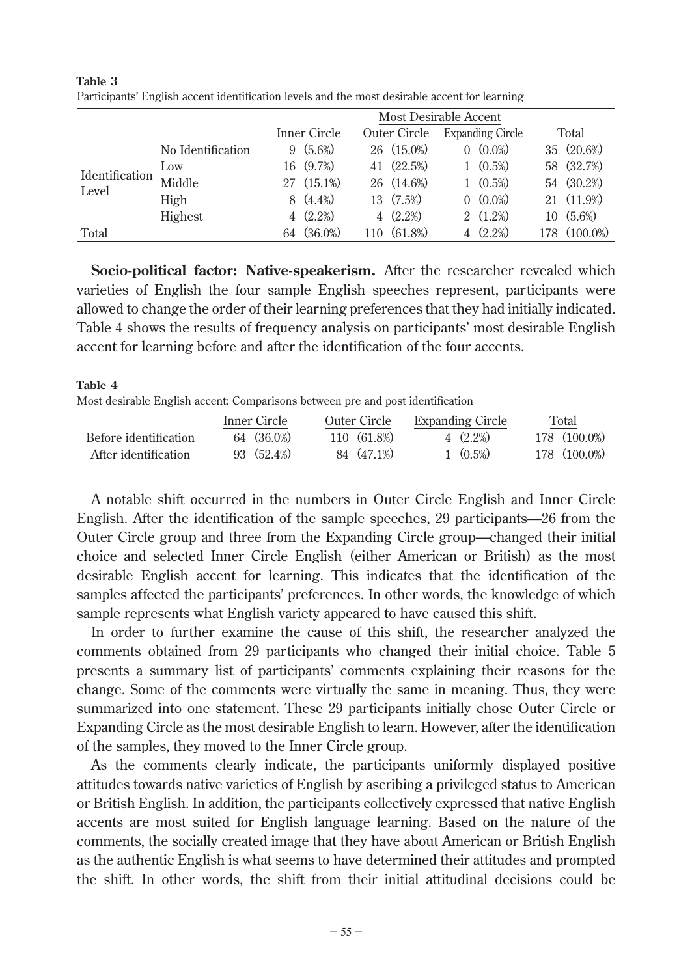|                |                   |    |              | <b>Most Desirable Accent</b> |                  |                         |              |
|----------------|-------------------|----|--------------|------------------------------|------------------|-------------------------|--------------|
|                |                   |    | Inner Circle | Outer Circle                 |                  | <b>Expanding Circle</b> | Total        |
|                | No Identification | 9  | $(5.6\%)$    | $26(15.0\%)$                 | $\left( \right)$ | $(0.0\%)$               | 35 (20.6%)   |
|                | $_{\text{Low}}$   |    | 16 (9.7%)    | 41 (22.5%)                   |                  | $(0.5\%)$               | 58 (32.7%)   |
| Identification | Middle            |    | 27 (15.1%)   | 26 (14.6%)                   |                  | $1 \quad (0.5\%)$       | 54 (30.2%)   |
| Level          | High              |    | $8(4.4\%)$   | 13 (7.5%)                    |                  | $0 \quad (0.0\%)$       | 21 (11.9%)   |
|                | Highest           |    | $4(2.2\%)$   | $4(2.2\%)$                   |                  | $2(1.2\%)$              | $10(5.6\%)$  |
| Total          |                   | 64 | $(36.0\%)$   | 110 (61.8%)                  |                  | $(2.2\%)$               | 178 (100.0%) |

**Table 3** Participants' English accent identification levels and the most desirable accent for learning

**Socio-political factor: Native-speakerism.** After the researcher revealed which varieties of English the four sample English speeches represent, participants were allowed to change the order of their learning preferences that they had initially indicated. Table 4 shows the results of frequency analysis on participants' most desirable English accent for learning before and after the identification of the four accents.

#### **Table 4** Most desirable English accent: Comparisons between pre and post identification

|                       | Inner Circle | Outer Circle | <b>Expanding Circle</b> | Total        |
|-----------------------|--------------|--------------|-------------------------|--------------|
| Before identification | 64 (36.0%)   | 110(61.8%)   | $4(2.2\%)$              | 178 (100.0%) |
| After identification  | 93 (52.4%)   | 84 (47.1%)   | $1 \quad (0.5\%)$       | 178 (100.0%) |

 A notable shift occurred in the numbers in Outer Circle English and Inner Circle English. After the identification of the sample speeches, 29 participants—26 from the Outer Circle group and three from the Expanding Circle group—changed their initial choice and selected Inner Circle English (either American or British) as the most desirable English accent for learning. This indicates that the identification of the samples affected the participants' preferences. In other words, the knowledge of which sample represents what English variety appeared to have caused this shift.

 In order to further examine the cause of this shift, the researcher analyzed the comments obtained from 29 participants who changed their initial choice. Table 5 presents a summary list of participants' comments explaining their reasons for the change. Some of the comments were virtually the same in meaning. Thus, they were summarized into one statement. These 29 participants initially chose Outer Circle or Expanding Circle as the most desirable English to learn. However, after the identification of the samples, they moved to the Inner Circle group.

 As the comments clearly indicate, the participants uniformly displayed positive attitudes towards native varieties of English by ascribing a privileged status to American or British English. In addition, the participants collectively expressed that native English accents are most suited for English language learning. Based on the nature of the comments, the socially created image that they have about American or British English as the authentic English is what seems to have determined their attitudes and prompted the shift. In other words, the shift from their initial attitudinal decisions could be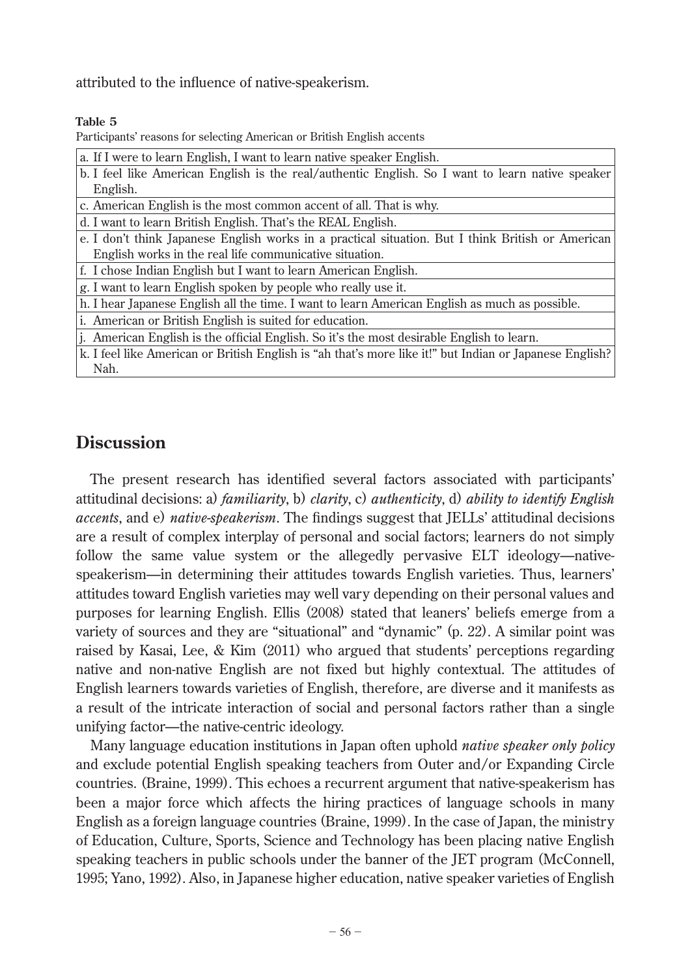attributed to the influence of native-speakerism.

#### **Table 5**

Participants' reasons for selecting American or British English accents

| a. If I were to learn English, I want to learn native speaker English.                                  |
|---------------------------------------------------------------------------------------------------------|
| b. I feel like American English is the real/authentic English. So I want to learn native speaker        |
| English.                                                                                                |
| c. American English is the most common accent of all. That is why.                                      |
| d. I want to learn British English. That's the REAL English.                                            |
| e. I don't think Japanese English works in a practical situation. But I think British or American       |
| English works in the real life communicative situation.                                                 |
| f. I chose Indian English but I want to learn American English.                                         |
| g. I want to learn English spoken by people who really use it.                                          |
| h. I hear Japanese English all the time. I want to learn American English as much as possible.          |
| i. American or British English is suited for education.                                                 |
| j. American English is the official English. So it's the most desirable English to learn.               |
| k. I feel like American or British English is "ah that's more like it!" but Indian or Japanese English? |
|                                                                                                         |

Nah.

# **Discussion**

The present research has identified several factors associated with participants' attitudinal decisions: a) *familiarity*, b) *clarity*, c) *authenticity*, d) *ability to identify English accents*, and e) *native-speakerism*. The findings suggest that JELLs' attitudinal decisions are a result of complex interplay of personal and social factors; learners do not simply follow the same value system or the allegedly pervasive ELT ideology—nativespeakerism—in determining their attitudes towards English varieties. Thus, learners' attitudes toward English varieties may well vary depending on their personal values and purposes for learning English. Ellis (2008) stated that leaners' beliefs emerge from a variety of sources and they are "situational" and "dynamic" (p. 22). A similar point was raised by Kasai, Lee, & Kim (2011) who argued that students' perceptions regarding native and non-native English are not fixed but highly contextual. The attitudes of English learners towards varieties of English, therefore, are diverse and it manifests as a result of the intricate interaction of social and personal factors rather than a single unifying factor—the native-centric ideology.

 Many language education institutions in Japan often uphold *native speaker only policy*  and exclude potential English speaking teachers from Outer and/or Expanding Circle countries. (Braine, 1999). This echoes a recurrent argument that native-speakerism has been a major force which affects the hiring practices of language schools in many English as a foreign language countries (Braine, 1999). In the case of Japan, the ministry of Education, Culture, Sports, Science and Technology has been placing native English speaking teachers in public schools under the banner of the JET program (McConnell, 1995; Yano, 1992). Also, in Japanese higher education, native speaker varieties of English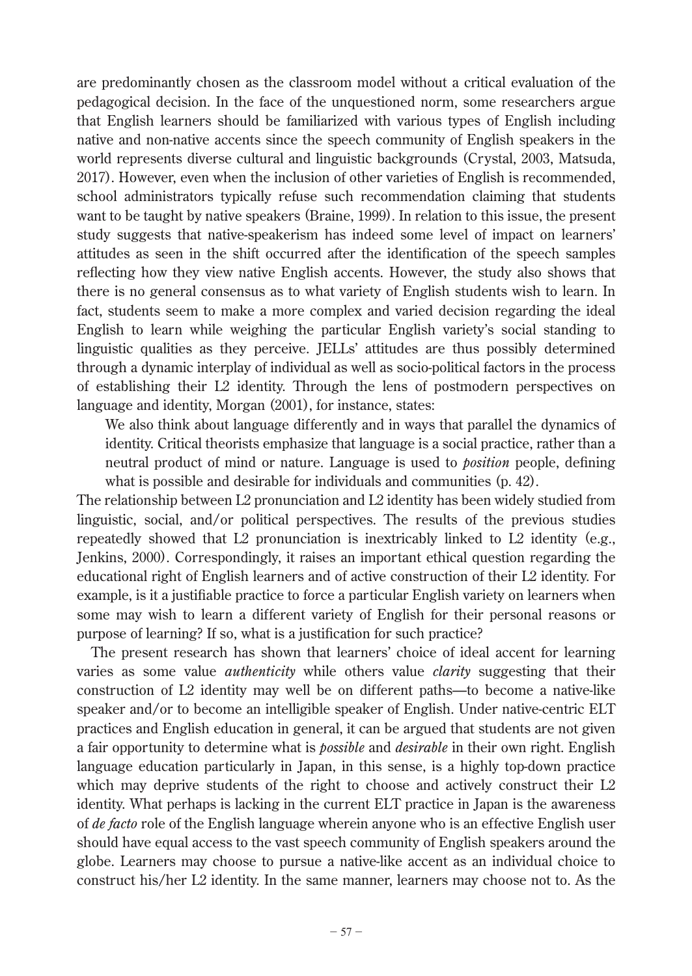are predominantly chosen as the classroom model without a critical evaluation of the pedagogical decision. In the face of the unquestioned norm, some researchers argue that English learners should be familiarized with various types of English including native and non-native accents since the speech community of English speakers in the world represents diverse cultural and linguistic backgrounds (Crystal, 2003, Matsuda, 2017). However, even when the inclusion of other varieties of English is recommended, school administrators typically refuse such recommendation claiming that students want to be taught by native speakers (Braine, 1999). In relation to this issue, the present study suggests that native-speakerism has indeed some level of impact on learners' attitudes as seen in the shift occurred after the identification of the speech samples reflecting how they view native English accents. However, the study also shows that there is no general consensus as to what variety of English students wish to learn. In fact, students seem to make a more complex and varied decision regarding the ideal English to learn while weighing the particular English variety's social standing to linguistic qualities as they perceive. JELLs' attitudes are thus possibly determined through a dynamic interplay of individual as well as socio-political factors in the process of establishing their L2 identity. Through the lens of postmodern perspectives on language and identity, Morgan (2001), for instance, states:

We also think about language differently and in ways that parallel the dynamics of identity. Critical theorists emphasize that language is a social practice, rather than a neutral product of mind or nature. Language is used to *position* people, defining what is possible and desirable for individuals and communities (p. 42).

The relationship between L2 pronunciation and L2 identity has been widely studied from linguistic, social, and/or political perspectives. The results of the previous studies repeatedly showed that L2 pronunciation is inextricably linked to L2 identity (e.g., Jenkins, 2000). Correspondingly, it raises an important ethical question regarding the educational right of English learners and of active construction of their L2 identity. For example, is it a justifiable practice to force a particular English variety on learners when some may wish to learn a different variety of English for their personal reasons or purpose of learning? If so, what is a justification for such practice?

 The present research has shown that learners' choice of ideal accent for learning varies as some value *authenticity* while others value *clarity* suggesting that their construction of L2 identity may well be on different paths—to become a native-like speaker and/or to become an intelligible speaker of English. Under native-centric ELT practices and English education in general, it can be argued that students are not given a fair opportunity to determine what is *possible* and *desirable* in their own right. English language education particularly in Japan, in this sense, is a highly top-down practice which may deprive students of the right to choose and actively construct their L2 identity. What perhaps is lacking in the current ELT practice in Japan is the awareness of *de facto* role of the English language wherein anyone who is an effective English user should have equal access to the vast speech community of English speakers around the globe. Learners may choose to pursue a native-like accent as an individual choice to construct his/her L2 identity. In the same manner, learners may choose not to. As the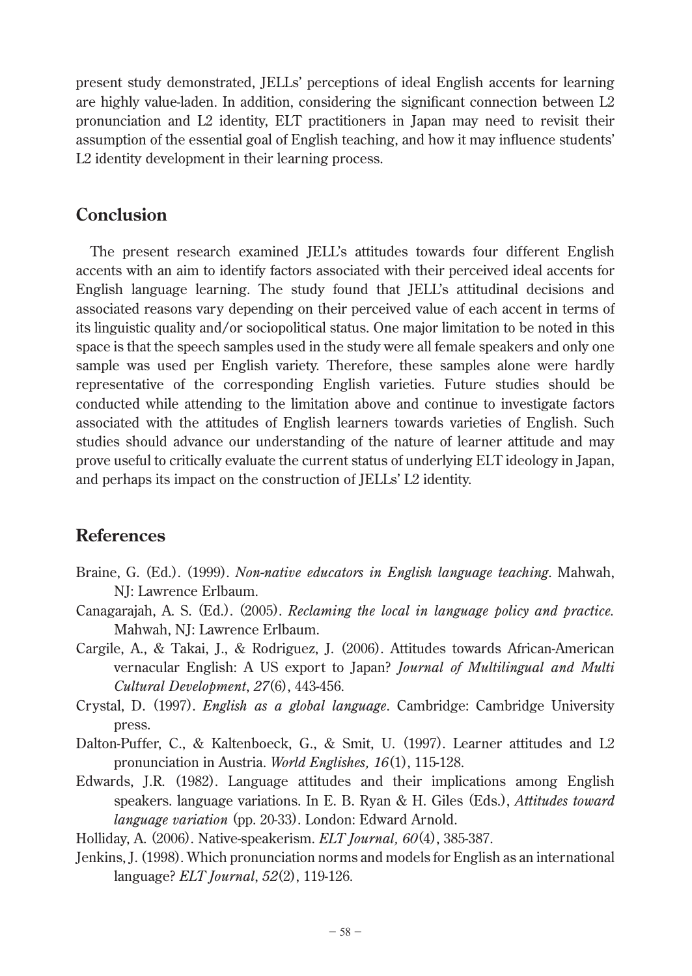present study demonstrated, JELLs' perceptions of ideal English accents for learning are highly value-laden. In addition, considering the significant connection between  $L2$ pronunciation and L2 identity, ELT practitioners in Japan may need to revisit their assumption of the essential goal of English teaching, and how it may influence students' L2 identity development in their learning process.

# **Conclusion**

 The present research examined JELL's attitudes towards four different English accents with an aim to identify factors associated with their perceived ideal accents for English language learning. The study found that JELL's attitudinal decisions and associated reasons vary depending on their perceived value of each accent in terms of its linguistic quality and/or sociopolitical status. One major limitation to be noted in this space is that the speech samples used in the study were all female speakers and only one sample was used per English variety. Therefore, these samples alone were hardly representative of the corresponding English varieties. Future studies should be conducted while attending to the limitation above and continue to investigate factors associated with the attitudes of English learners towards varieties of English. Such studies should advance our understanding of the nature of learner attitude and may prove useful to critically evaluate the current status of underlying ELT ideology in Japan, and perhaps its impact on the construction of JELLs' L2 identity.

# **References**

- Braine, G. (Ed.). (1999). *Non-native educators in English language teaching*. Mahwah, NJ: Lawrence Erlbaum.
- Canagarajah, A. S. (Ed.). (2005). *Reclaming the local in language policy and practice.* Mahwah, NJ: Lawrence Erlbaum.
- Cargile, A., & Takai, J., & Rodriguez, J. (2006). Attitudes towards African-American vernacular English: A US export to Japan? *Journal of Multilingual and Multi Cultural Development*, *27*(6), 443-456.
- Crystal, D. (1997). *English as a global language*. Cambridge: Cambridge University press.
- Dalton-Puffer, C., & Kaltenboeck, G., & Smit, U. (1997). Learner attitudes and L2 pronunciation in Austria. *World Englishes, 16*(1), 115-128.
- Edwards, J.R. (1982). Language attitudes and their implications among English speakers. language variations. In E. B. Ryan & H. Giles (Eds.), *Attitudes toward language variation* (pp. 20-33). London: Edward Arnold.

Holliday, A. (2006). Native-speakerism. *ELT Journal, 60*(4), 385-387.

Jenkins, J. (1998). Which pronunciation norms and models for English as an international language? *ELT Journal*, *52*(2), 119-126.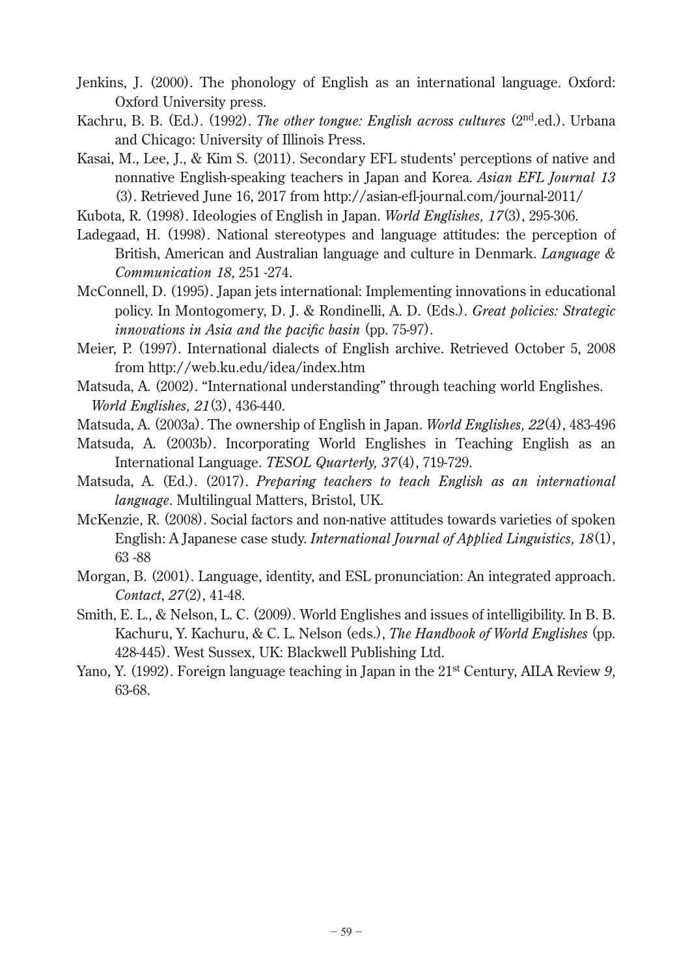- Jenkins, J. (2000). The phonology of English as an international language. Oxford: Oxford University press.
- Kachru, B. B. (Ed.). (1992). *The other tongue: English across cultures* (2<sup>nd</sup>.ed.). Urbana and Chicago: University of Illinois Press.
- Kasai, M., Lee, J., & Kim S. (2011). Secondary EFL students' perceptions of native and nonnative English-speaking teachers in Japan and Korea. *Asian EFL Journal 13*  (3). Retrieved June 16, 2017 from http://asian-efl -journal.com/journal-2011/
- Kubota, R. (1998). Ideologies of English in Japan. *World Englishes, 17*(3), 295-306.
- Ladegaad, H. (1998). National stereotypes and language attitudes: the perception of British, American and Australian language and culture in Denmark. *Language & Communication 18*, 251 -274.
- McConnell, D. (1995). Japan jets international: Implementing innovations in educational policy. In Montogomery, D. J. & Rondinelli, A. D. (Eds.). *Great policies: Strategic innovations in Asia and the pacific basin* (pp. 75-97).
- Meier, P. (1997). International dialects of English archive. Retrieved October 5, 2008 from http://web.ku.edu/idea/index.htm
- Matsuda, A. (2002). "International understanding" through teaching world Englishes. *World Englishes, 21*(3), 436-440.
- Matsuda, A. (2003a). The ownership of English in Japan. *World Englishes, 22*(4), 483-496
- Matsuda, A. (2003b). Incorporating World Englishes in Teaching English as an International Language. *TESOL Quarterly, 37*(4), 719-729.
- Matsuda, A. (Ed.). (2017). *Preparing teachers to teach English as an international language*. Multilingual Matters, Bristol, UK.
- McKenzie, R. (2008). Social factors and non-native attitudes towards varieties of spoken English: A Japanese case study. *International Journal of Applied Linguistics, 18*(1), 63 -88
- Morgan, B. (2001). Language, identity, and ESL pronunciation: An integrated approach. *Contact*, *27*(2), 41-48.
- Smith, E. L., & Nelson, L. C. (2009). World Englishes and issues of intelligibility. In B. B. Kachuru, Y. Kachuru, & C. L. Nelson (eds.), *The Handbook of World Englishes* (pp. 428-445). West Sussex, UK: Blackwell Publishing Ltd.
- Yano, Y. (1992). Foreign language teaching in Japan in the 21<sup>st</sup> Century, AILA Review 9, 63-68.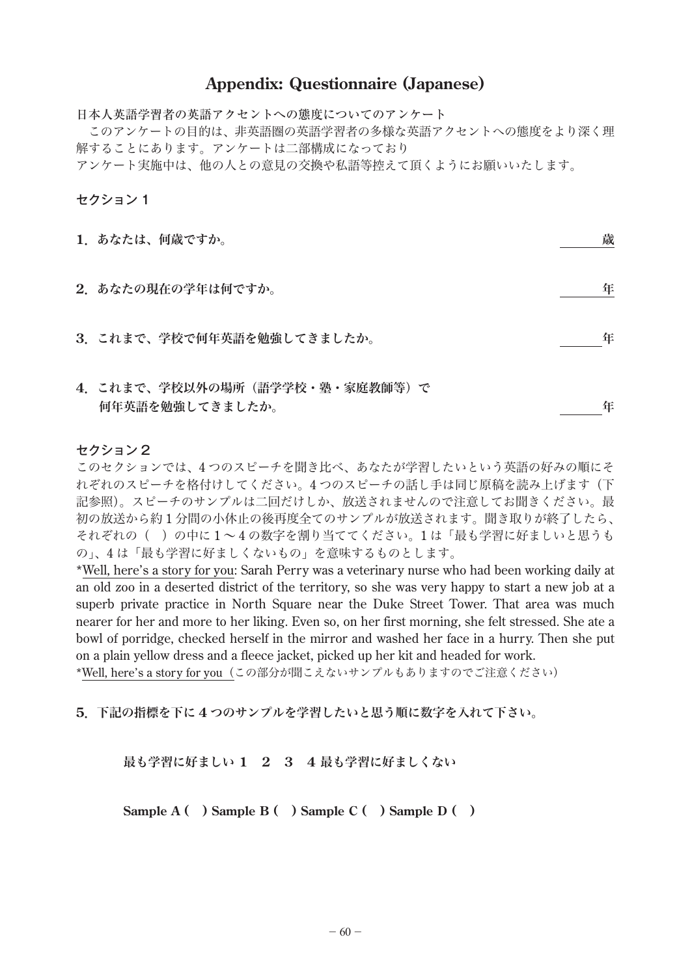### **Appendix: Questionnaire (Japanese)**

日本人英語学習者の英語アクセントへの態度についてのアンケート このアンケートの目的は、非英語圏の英語学習者の多様な英語アクセントへの態度をより深く理 解することにあります。アンケートは二部構成になっており アンケート実施中は、他の人との意見の交換や私語等控えて頂くようにお願いいたします。

セクション 1

| 1.あなたは、何歳ですか。                                     | 歳 |
|---------------------------------------------------|---|
| 2.あなたの現在の学年は何ですか。                                 | 年 |
| 3. これまで、学校で何年英語を勉強してきましたか。                        | 年 |
| 4. これまで、学校以外の場所(語学学校・塾・家庭教師等)で<br>何年英語を勉強してきましたか。 | 年 |

#### セクション 2

このセクションでは、4 つのスピーチを聞き比べ、あなたが学習したいという英語の好みの順にそ れぞれのスピーチを格付けしてください。4 つのスピーチの話し手は同じ原稿を読み上げます(下 記参照)。スピーチのサンプルは二回だけしか、放送されませんので注意してお聞きください。最 初の放送から約 1 分間の小休止の後再度全てのサンプルが放送されます。聞き取りが終了したら、 それぞれの( )の中に 1 ~ 4 の数字を割り当ててください。1 は「最も学習に好ましいと思うも の」、4 は「最も学習に好ましくないもの」を意味するものとします。

\*Well, here's a story for you: Sarah Perry was a veterinary nurse who had been working daily at an old zoo in a deserted district of the territory, so she was very happy to start a new job at a superb private practice in North Square near the Duke Street Tower. That area was much nearer for her and more to her liking. Even so, on her first morning, she felt stressed. She ate a bowl of porridge, checked herself in the mirror and washed her face in a hurry. Then she put on a plain yellow dress and a fleece jacket, picked up her kit and headed for work.

\*Well, here's a story for you(この部分が聞こえないサンプルもありますのでご注意ください)

**5**.下記の指標を下に **4** つのサンプルを学習したいと思う順に数字を入れて下さい。

最も学習に好ましい **1 2 3 4** 最も学習に好ましくない

**Sample A ( ) Sample B ( ) Sample C ( ) Sample D ( )**